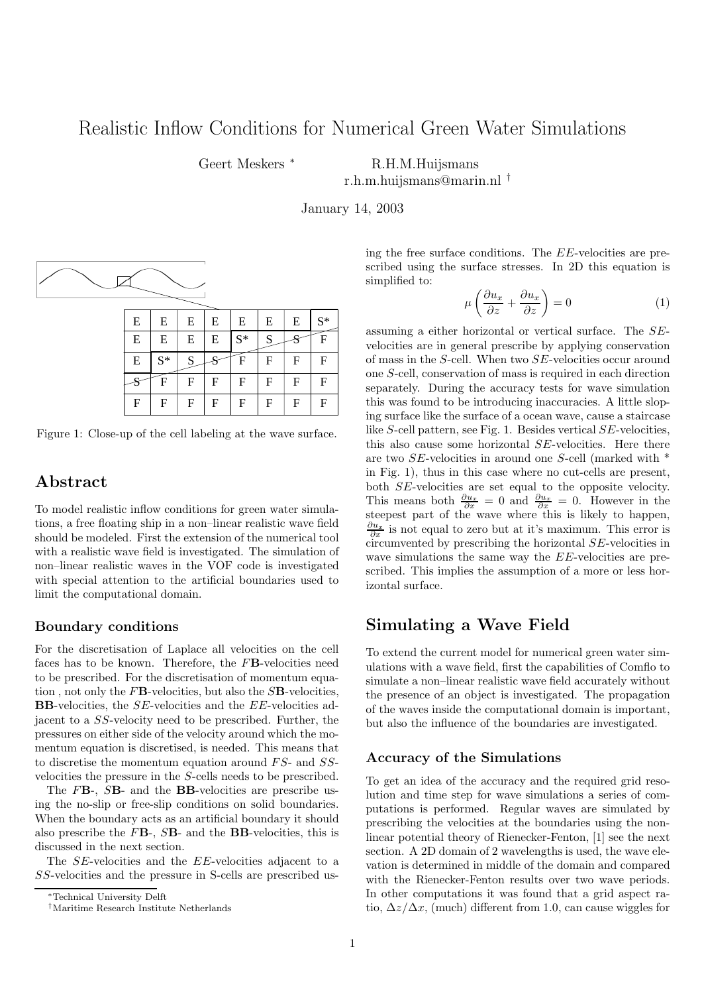# Realistic Inflow Conditions for Numerical Green Water Simulations

Geert Meskers <sup>\*</sup> R.H.M.Huijsmans

r.h.m.huijsmans@marin.nl †

January 14, 2003



| E | E     | E | E | E     | E | E | $S^*$ |
|---|-------|---|---|-------|---|---|-------|
| E | E     | E | E | $S^*$ | S |   | F     |
| E | $S^*$ | S |   | F     | F | F | F     |
|   | F     | F | F | F     | F | F | F     |
| F | F     | F | F | F     | F | F | F     |

Figure 1: Close-up of the cell labeling at the wave surface.

## Abstract

To model realistic inflow conditions for green water simulations, a free floating ship in a non–linear realistic wave field should be modeled. First the extension of the numerical tool with a realistic wave field is investigated. The simulation of non–linear realistic waves in the VOF code is investigated with special attention to the artificial boundaries used to limit the computational domain.

### Boundary conditions

For the discretisation of Laplace all velocities on the cell faces has to be known. Therefore, the FB-velocities need to be prescribed. For the discretisation of momentum equation, not only the  $F\mathbf{B}$ -velocities, but also the  $S\mathbf{B}$ -velocities, BB-velocities, the SE-velocities and the EE-velocities adjacent to a SS-velocity need to be prescribed. Further, the pressures on either side of the velocity around which the momentum equation is discretised, is needed. This means that to discretise the momentum equation around FS- and SSvelocities the pressure in the S-cells needs to be prescribed.

The FB-, SB- and the BB-velocities are prescribe using the no-slip or free-slip conditions on solid boundaries. When the boundary acts as an artificial boundary it should also prescribe the  $F\mathbf{B}$ -,  $S\mathbf{B}$ - and the  $\mathbf{B}\mathbf{B}$ -velocities, this is discussed in the next section.

The SE-velocities and the EE-velocities adjacent to a SS-velocities and the pressure in S-cells are prescribed using the free surface conditions. The EE-velocities are prescribed using the surface stresses. In 2D this equation is simplified to:

$$
\mu \left( \frac{\partial u_x}{\partial z} + \frac{\partial u_x}{\partial z} \right) = 0 \tag{1}
$$

assuming a either horizontal or vertical surface. The SEvelocities are in general prescribe by applying conservation of mass in the S-cell. When two SE-velocities occur around one S-cell, conservation of mass is required in each direction separately. During the accuracy tests for wave simulation this was found to be introducing inaccuracies. A little sloping surface like the surface of a ocean wave, cause a staircase like S-cell pattern, see Fig. 1. Besides vertical SE-velocities, this also cause some horizontal SE-velocities. Here there are two SE-velocities in around one S-cell (marked with \* in Fig. 1), thus in this case where no cut-cells are present, both SE-velocities are set equal to the opposite velocity. This means both  $\frac{\partial u_x}{\partial x} = 0$  and  $\frac{\partial u_x}{\partial x} = 0$ . However in the steepest part of the wave where this is likely to happen,  $\frac{\partial u_x}{\partial x}$  is not equal to zero but at it's maximum. This error is circumvented by prescribing the horizontal SE-velocities in wave simulations the same way the EE-velocities are prescribed. This implies the assumption of a more or less horizontal surface.

## Simulating a Wave Field

To extend the current model for numerical green water simulations with a wave field, first the capabilities of Comflo to simulate a non–linear realistic wave field accurately without the presence of an object is investigated. The propagation of the waves inside the computational domain is important, but also the influence of the boundaries are investigated.

### Accuracy of the Simulations

To get an idea of the accuracy and the required grid resolution and time step for wave simulations a series of computations is performed. Regular waves are simulated by prescribing the velocities at the boundaries using the nonlinear potential theory of Rienecker-Fenton, [1] see the next section. A 2D domain of 2 wavelengths is used, the wave elevation is determined in middle of the domain and compared with the Rienecker-Fenton results over two wave periods. In other computations it was found that a grid aspect ratio,  $\Delta z/\Delta x$ , (much) different from 1.0, can cause wiggles for

<sup>∗</sup>Technical University Delft

<sup>†</sup>Maritime Research Institute Netherlands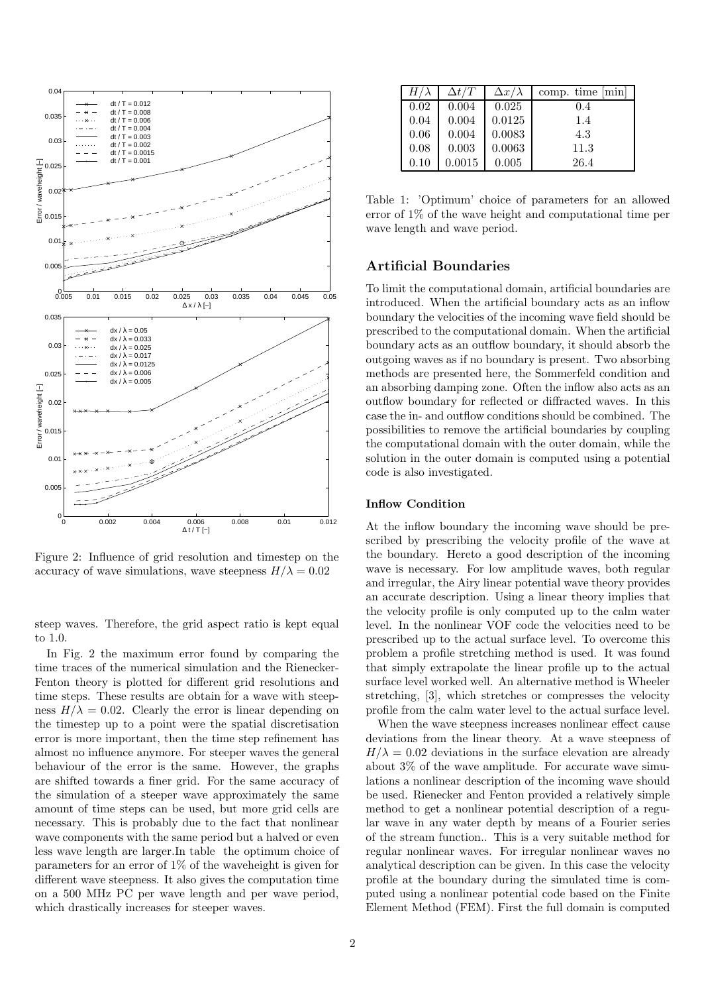

Figure 2: Influence of grid resolution and timestep on the accuracy of wave simulations, wave steepness  $H/\lambda = 0.02$ 

steep waves. Therefore, the grid aspect ratio is kept equal to 1.0.

In Fig. 2 the maximum error found by comparing the time traces of the numerical simulation and the Rienecker-Fenton theory is plotted for different grid resolutions and time steps. These results are obtain for a wave with steepness  $H/\lambda = 0.02$ . Clearly the error is linear depending on the timestep up to a point were the spatial discretisation error is more important, then the time step refinement has almost no influence anymore. For steeper waves the general behaviour of the error is the same. However, the graphs are shifted towards a finer grid. For the same accuracy of the simulation of a steeper wave approximately the same amount of time steps can be used, but more grid cells are necessary. This is probably due to the fact that nonlinear wave components with the same period but a halved or even less wave length are larger.In table the optimum choice of parameters for an error of 1% of the waveheight is given for different wave steepness. It also gives the computation time on a 500 MHz PC per wave length and per wave period, which drastically increases for steeper waves.

| $H/\lambda$ | $\Delta t/T$ | $\Delta x/\lambda$ | comp. time $ \text{min} $ |
|-------------|--------------|--------------------|---------------------------|
| 0.02        | 0.004        | 0.025              | 0.4                       |
| 0.04        | 0.004        | 0.0125             | 1.4                       |
| 0.06        | 0.004        | 0.0083             | 4.3                       |
| 0.08        | 0.003        | 0.0063             | 11.3                      |
| 0.10        | 0.0015       | 0.005              | 26.4                      |

Table 1: 'Optimum' choice of parameters for an allowed error of 1% of the wave height and computational time per wave length and wave period.

## Artificial Boundaries

To limit the computational domain, artificial boundaries are introduced. When the artificial boundary acts as an inflow boundary the velocities of the incoming wave field should be prescribed to the computational domain. When the artificial boundary acts as an outflow boundary, it should absorb the outgoing waves as if no boundary is present. Two absorbing methods are presented here, the Sommerfeld condition and an absorbing damping zone. Often the inflow also acts as an outflow boundary for reflected or diffracted waves. In this case the in- and outflow conditions should be combined. The possibilities to remove the artificial boundaries by coupling the computational domain with the outer domain, while the solution in the outer domain is computed using a potential code is also investigated.

#### Inflow Condition

At the inflow boundary the incoming wave should be prescribed by prescribing the velocity profile of the wave at the boundary. Hereto a good description of the incoming wave is necessary. For low amplitude waves, both regular and irregular, the Airy linear potential wave theory provides an accurate description. Using a linear theory implies that the velocity profile is only computed up to the calm water level. In the nonlinear VOF code the velocities need to be prescribed up to the actual surface level. To overcome this problem a profile stretching method is used. It was found that simply extrapolate the linear profile up to the actual surface level worked well. An alternative method is Wheeler stretching, [3], which stretches or compresses the velocity profile from the calm water level to the actual surface level.

When the wave steepness increases nonlinear effect cause deviations from the linear theory. At a wave steepness of  $H/\lambda = 0.02$  deviations in the surface elevation are already about 3% of the wave amplitude. For accurate wave simulations a nonlinear description of the incoming wave should be used. Rienecker and Fenton provided a relatively simple method to get a nonlinear potential description of a regular wave in any water depth by means of a Fourier series of the stream function.. This is a very suitable method for regular nonlinear waves. For irregular nonlinear waves no analytical description can be given. In this case the velocity profile at the boundary during the simulated time is computed using a nonlinear potential code based on the Finite Element Method (FEM). First the full domain is computed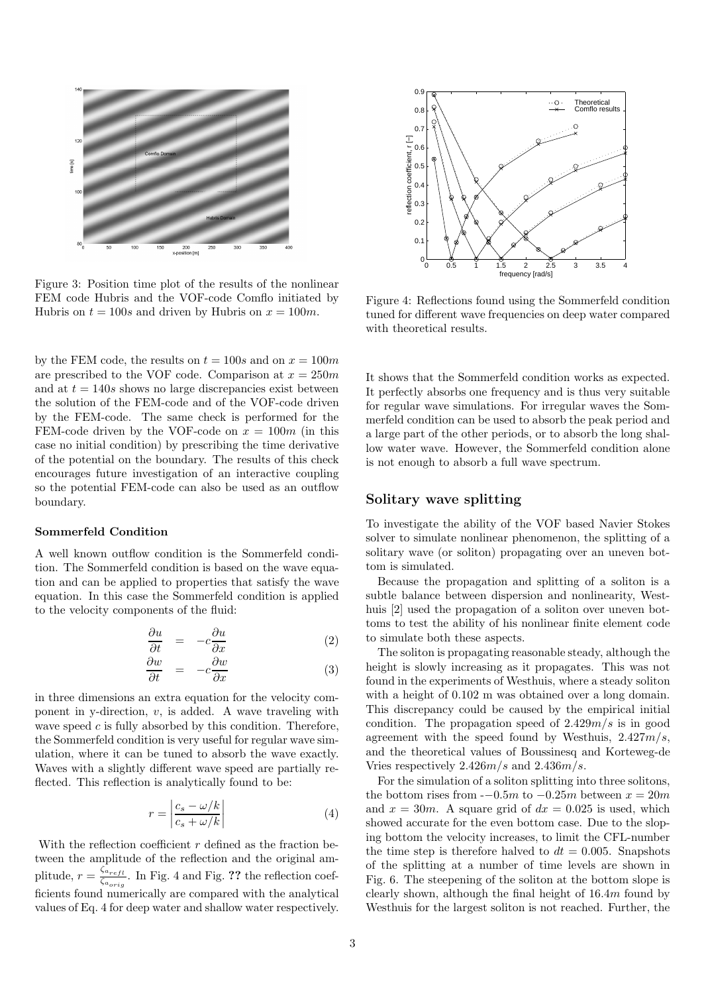

Figure 3: Position time plot of the results of the nonlinear FEM code Hubris and the VOF-code Comflo initiated by Hubris on  $t = 100s$  and driven by Hubris on  $x = 100m$ .

by the FEM code, the results on  $t = 100s$  and on  $x = 100m$ are prescribed to the VOF code. Comparison at  $x = 250m$ and at  $t = 140s$  shows no large discrepancies exist between the solution of the FEM-code and of the VOF-code driven by the FEM-code. The same check is performed for the FEM-code driven by the VOF-code on  $x = 100m$  (in this case no initial condition) by prescribing the time derivative of the potential on the boundary. The results of this check encourages future investigation of an interactive coupling so the potential FEM-code can also be used as an outflow boundary.

#### Sommerfeld Condition

A well known outflow condition is the Sommerfeld condition. The Sommerfeld condition is based on the wave equation and can be applied to properties that satisfy the wave equation. In this case the Sommerfeld condition is applied to the velocity components of the fluid:

$$
\frac{\partial u}{\partial t} = -c \frac{\partial u}{\partial x} \tag{2}
$$

$$
\frac{\partial w}{\partial t} = -c \frac{\partial w}{\partial x} \tag{3}
$$

in three dimensions an extra equation for the velocity component in y-direction,  $v$ , is added. A wave traveling with wave speed  $c$  is fully absorbed by this condition. Therefore, the Sommerfeld condition is very useful for regular wave simulation, where it can be tuned to absorb the wave exactly. Waves with a slightly different wave speed are partially reflected. This reflection is analytically found to be:

$$
r = \left| \frac{c_s - \omega/k}{c_s + \omega/k} \right| \tag{4}
$$

With the reflection coefficient  $r$  defined as the fraction between the amplitude of the reflection and the original amplitude,  $r = \frac{\zeta_{a_{refl}}}{\zeta_{eq}}$  $\frac{\zeta_{a_{refl}}}{\zeta_{a_{origl}}}$ . In Fig. 4 and Fig. ?? the reflection coefficients found numerically are compared with the analytical values of Eq. 4 for deep water and shallow water respectively.



Figure 4: Reflections found using the Sommerfeld condition tuned for different wave frequencies on deep water compared with theoretical results.

It shows that the Sommerfeld condition works as expected. It perfectly absorbs one frequency and is thus very suitable for regular wave simulations. For irregular waves the Sommerfeld condition can be used to absorb the peak period and a large part of the other periods, or to absorb the long shallow water wave. However, the Sommerfeld condition alone is not enough to absorb a full wave spectrum.

### Solitary wave splitting

To investigate the ability of the VOF based Navier Stokes solver to simulate nonlinear phenomenon, the splitting of a solitary wave (or soliton) propagating over an uneven bottom is simulated.

Because the propagation and splitting of a soliton is a subtle balance between dispersion and nonlinearity, Westhuis [2] used the propagation of a soliton over uneven bottoms to test the ability of his nonlinear finite element code to simulate both these aspects.

The soliton is propagating reasonable steady, although the height is slowly increasing as it propagates. This was not found in the experiments of Westhuis, where a steady soliton with a height of  $0.102$  m was obtained over a long domain. This discrepancy could be caused by the empirical initial condition. The propagation speed of  $2.429m/s$  is in good agreement with the speed found by Westhuis,  $2.427m/s$ , and the theoretical values of Boussinesq and Korteweg-de Vries respectively 2.426m/s and 2.436m/s.

For the simulation of a soliton splitting into three solitons, the bottom rises from  $-0.5m$  to  $-0.25m$  between  $x = 20m$ and  $x = 30m$ . A square grid of  $dx = 0.025$  is used, which showed accurate for the even bottom case. Due to the sloping bottom the velocity increases, to limit the CFL-number the time step is therefore halved to  $dt = 0.005$ . Snapshots of the splitting at a number of time levels are shown in Fig. 6. The steepening of the soliton at the bottom slope is clearly shown, although the final height of 16.4m found by Westhuis for the largest soliton is not reached. Further, the